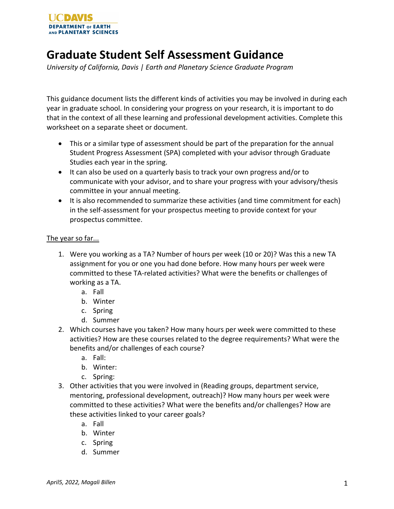

## **Graduate Student Self Assessment Guidance**

*University of California, Davis | Earth and Planetary Science Graduate Program* 

This guidance document lists the different kinds of activities you may be involved in during each year in graduate school. In considering your progress on your research, it is important to do that in the context of all these learning and professional development activities. Complete this worksheet on a separate sheet or document.

- This or a similar type of assessment should be part of the preparation for the annual Student Progress Assessment (SPA) completed with your advisor through Graduate Studies each year in the spring.
- It can also be used on a quarterly basis to track your own progress and/or to communicate with your advisor, and to share your progress with your advisory/thesis committee in your annual meeting.
- It is also recommended to summarize these activities (and time commitment for each) in the self-assessment for your prospectus meeting to provide context for your prospectus committee.

## The year so far...

- 1. Were you working as a TA? Number of hours per week (10 or 20)? Was this a new TA assignment for you or one you had done before. How many hours per week were committed to these TA-related activities? What were the benefits or challenges of working as a TA.
	- a. Fall
	- b. Winter
	- c. Spring
	- d. Summer
- 2. Which courses have you taken? How many hours per week were committed to these activities? How are these courses related to the degree requirements? What were the benefits and/or challenges of each course?
	- a. Fall:
	- b. Winter:
	- c. Spring:
- 3. Other activities that you were involved in (Reading groups, department service, mentoring, professional development, outreach)? How many hours per week were committed to these activities? What were the benefits and/or challenges? How are these activities linked to your career goals?
	- a. Fall
	- b. Winter
	- c. Spring
	- d. Summer